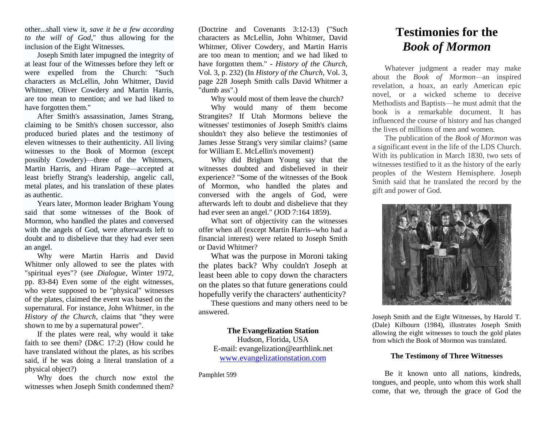other...shall view it, *save it be a few according to the will of God*," thus allowing for the inclusion of the Eight Witnesses.

Joseph Smith later impugned the integrity of at least four of the Witnesses before they left or were expelled from the Church: "Such characters as McLellin, John Whitmer, David Whitmer, Oliver Cowdery and Martin Harris, are too mean to mention; and we had liked to have forgotten them."

After Smith's assassination, James Strang, claiming to be Smith's chosen successor, also produced buried plates and the testimony of eleven witnesses to their authenticity. All living witnesses to the Book of Mormon (except possibly Cowdery)—three of the Whitmers, Martin Harris, and Hiram Page—accepted at least briefly Strang's leadership, angelic call, metal plates, and his translation of these plates as authentic.

Years later, Mormon leader Brigham Young said that some witnesses of the Book of Mormon, who handled the plates and conversed with the angels of God, were afterwards left to doubt and to disbelieve that they had ever seen an angel.

Why were Martin Harris and David Whitmer only allowed to see the plates with "spiritual eyes"? (see *Dialogue*, Winter 1972, pp. 83-84) Even some of the eight witnesses, who were supposed to be "physical" witnesses of the plates, claimed the event was based on the supernatural. For instance, John Whitmer, in the *History of the Church*, claims that "they were shown to me by a supernatural power".

If the plates were real, why would it take faith to see them? (D&C 17:2) (How could he have translated without the plates, as his scribes said, if he was doing a literal translation of a physical object?)

Why does the church now extol the witnesses when Joseph Smith condemned them?

(Doctrine and Covenants 3:12-13) ("Such characters as McLellin, John Whitmer, David Whitmer, Oliver Cowdery, and Martin Harris are too mean to mention; and we had liked to have forgotten them." - *History of the Church*, Vol. 3, p. 232) (In *History of the Church*, Vol. 3, page 228 Joseph Smith calls David Whitmer a "dumb ass".)

Why would most of them leave the church?

Why would many of them become Strangites? If Utah Mormons believe the witnesses' testimonies of Joseph Smith's claims shouldn't they also believe the testimonies of James Jesse Strang's very similar claims? (same for William E. McLellin's movement)

Why did Brigham Young say that the witnesses doubted and disbelieved in their experience? "Some of the witnesses of the Book of Mormon, who handled the plates and conversed with the angels of God, were afterwards left to doubt and disbelieve that they had ever seen an angel." (JOD 7:164 1859).

What sort of objectivity can the witnesses offer when all (except Martin Harris--who had a financial interest) were related to Joseph Smith or David Whitmer?

What was the purpose in Moroni taking the plates back? Why couldn't Joseph at least been able to copy down the characters on the plates so that future generations could hopefully verify the characters' authenticity?

These questions and many others need to be answered.

## **The Evangelization Station**

Hudson, Florida, USA E-mail: evangelization@earthlink.net [www.evangelizationstation.com](http://www.pjpiisoe.org/)

Pamphlet 599

# **Testimonies for the** *Book of Mormon*

Whatever judgment a reader may make about the *Book of Mormon—*an inspired revelation, a hoax, an early American epic novel, or a wicked scheme to deceive Methodists and Baptists—he must admit that the book is a remarkable document. It has influenced the course of history and has changed the lives of millions of men and women.

The publication of the *Book of Mormon* was a significant event in the life of the LDS Church. With its publication in March 1830, two sets of witnesses testified to it as the history of the early peoples of the Western Hemisphere. Joseph Smith said that he translated the record by the gift and power of God.



Joseph Smith and the Eight Witnesses, by Harold T. (Dale) Kilbourn (1984), illustrates Joseph Smith allowing the eight witnesses to touch the gold plates from which the Book of Mormon was translated.

# **The Testimony of Three Witnesses**

Be it known unto all nations, kindreds, tongues, and people, unto whom this work shall come, that we, through the grace of God the